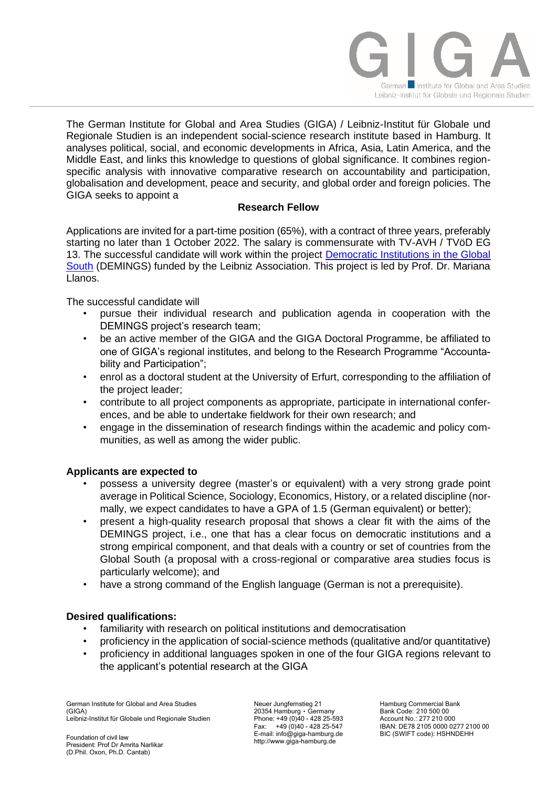

The German Institute for Global and Area Studies (GIGA) / Leibniz-Institut für Globale und Regionale Studien is an independent social-science research institute based in Hamburg. It analyses political, social, and economic developments in Africa, Asia, Latin America, and the Middle East, and links this knowledge to questions of global significance. It combines regionspecific analysis with innovative comparative research on accountability and participation, globalisation and development, peace and security, and global order and foreign policies. The GIGA seeks to appoint a

## **Research Fellow**

Applications are invited for a part-time position (65%), with a contract of three years, preferably starting no later than 1 October 2022. The salary is commensurate with TV-AVH / TVöD EG 13. The successful candidate will work within the project [Democratic Institutions in the Global](https://www.giga-hamburg.de/de/forschung-und-transfer/projekte/democratic-institutions-in-the-global-south)  [South](https://www.giga-hamburg.de/de/forschung-und-transfer/projekte/democratic-institutions-in-the-global-south) (DEMINGS) funded by the Leibniz Association. This project is led by Prof. Dr. Mariana Llanos.

The successful candidate will

- pursue their individual research and publication agenda in cooperation with the DEMINGS project's research team;
- be an active member of the GIGA and the GIGA Doctoral Programme, be affiliated to one of GIGA's regional institutes, and belong to the Research Programme "Accountability and Participation";
- enrol as a doctoral student at the University of Erfurt, corresponding to the affiliation of the project leader;
- contribute to all project components as appropriate, participate in international conferences, and be able to undertake fieldwork for their own research; and
- engage in the dissemination of research findings within the academic and policy communities, as well as among the wider public.

## **Applicants are expected to**

- possess a university degree (master's or equivalent) with a very strong grade point average in Political Science, Sociology, Economics, History, or a related discipline (normally, we expect candidates to have a GPA of 1.5 (German equivalent) or better);
- present a high-quality research proposal that shows a clear fit with the aims of the DEMINGS project, i.e., one that has a clear focus on democratic institutions and a strong empirical component, and that deals with a country or set of countries from the Global South (a proposal with a cross-regional or comparative area studies focus is particularly welcome); and
- have a strong command of the English language (German is not a prerequisite).

## **Desired qualifications:**

- familiarity with research on political institutions and democratisation
- proficiency in the application of social-science methods (qualitative and/or quantitative)
- proficiency in additional languages spoken in one of the four GIGA regions relevant to the applicant's potential research at the GIGA

German Institute for Global and Area Studies (GIGA) Leibniz-Institut für Globale und Regionale Studien

Foundation of civil law President: Prof Dr Amrita Narlikar (D.Phil. Oxon, Ph.D. Cantab)

Neuer Jungfernstieg 21 20354 Hamburg ۰ Germany Phone: +49 (0)40 - 428 25-593 Fax: +49 (0)40 - 428 25-547 E-mail: info@giga-hamburg.de http://www.giga-hamburg.de

Hamburg Commercial Bank Bank Code: 210 500 00 Account No.: 277 210 000 IBAN: DE78 2105 0000 0277 2100 00 BIC (SWIFT code): HSHNDEHH